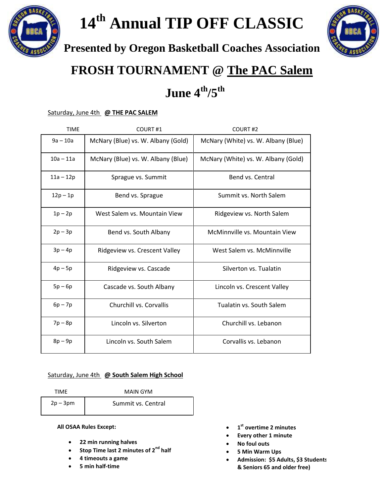



**Presented by Oregon Basketball Coaches Association**



## **FROSH TOURNAMENT @ The PAC Salem**

## **June 4 th/5th**

## Saturday, June 4th **@ THE PAC SALEM**

| <b>TIME</b> | COURT#1                            | COURT <sub>#2</sub>                 |
|-------------|------------------------------------|-------------------------------------|
| $9a - 10a$  | McNary (Blue) vs. W. Albany (Gold) | McNary (White) vs. W. Albany (Blue) |
| $10a - 11a$ | McNary (Blue) vs. W. Albany (Blue) | McNary (White) vs. W. Albany (Gold) |
| $11a - 12p$ | Sprague vs. Summit                 | Bend vs. Central                    |
| $12p - 1p$  | Bend vs. Sprague                   | Summit vs. North Salem              |
| $1p - 2p$   | West Salem vs. Mountain View       | Ridgeview vs. North Salem           |
| $2p - 3p$   | Bend vs. South Albany              | McMinnville vs. Mountain View       |
| $3p-4p$     | Ridgeview vs. Crescent Valley      | West Salem vs. McMinnville          |
| $4p - 5p$   | Ridgeview vs. Cascade              | Silverton vs. Tualatin              |
| $5p - 6p$   | Cascade vs. South Albany           | Lincoln vs. Crescent Valley         |
| $6p - 7p$   | Churchill vs. Corvallis            | Tualatin vs. South Salem            |
| $7p - 8p$   | Lincoln vs. Silverton              | Churchill vs. Lebanon               |
| $8p - 9p$   | Lincoln vs. South Salem            | Corvallis vs. Lebanon               |

## Saturday, June 4th **@ South Salem High School**

| TIMF       | MAIN GYM           |  |
|------------|--------------------|--|
| $2p - 3pm$ | Summit vs. Central |  |

**All OSAA Rules Except:**

- **22 min running halves**
- **Stop Time last 2 minutes of 2nd half**
- **4 timeouts a game**
- **5 min half-time**
- **1 st overtime 2 minutes**
- **Every other 1 minute**
- **No foul outs**
- **5 Min Warm Ups**
- Admission: \$5 Adults, \$3 Students **& Seniors 65 and older free)**